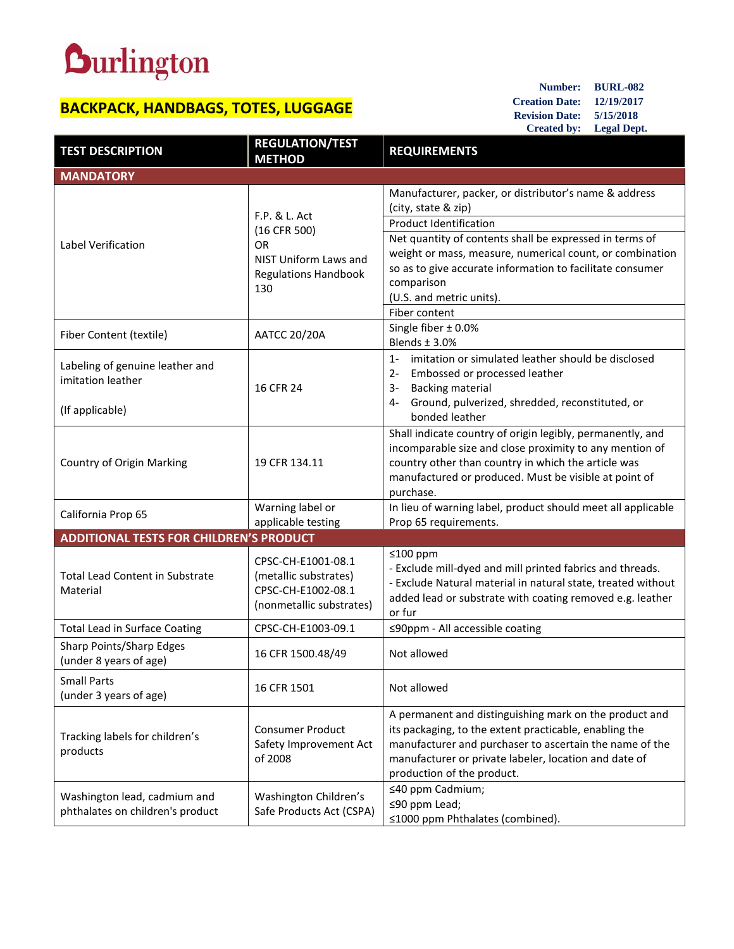## **Durlington**

## **BACKPACK, HANDBAGS, TOTES, LUGGAGE**

**Number: BURL-082 Creation Date: 12/19/2017 Revision Date: 5/15/2018 Created by: Legal Dept.**

| <b>TEST DESCRIPTION</b>                                                 | <b>REGULATION/TEST</b><br><b>METHOD</b>                                                                   | <b>REQUIREMENTS</b>                                                                                                                                                                                                                                                |
|-------------------------------------------------------------------------|-----------------------------------------------------------------------------------------------------------|--------------------------------------------------------------------------------------------------------------------------------------------------------------------------------------------------------------------------------------------------------------------|
| <b>MANDATORY</b>                                                        |                                                                                                           |                                                                                                                                                                                                                                                                    |
| Label Verification                                                      | F.P. & L. Act<br>(16 CFR 500)<br><b>OR</b><br>NIST Uniform Laws and<br><b>Regulations Handbook</b><br>130 | Manufacturer, packer, or distributor's name & address<br>(city, state & zip)<br><b>Product Identification</b>                                                                                                                                                      |
|                                                                         |                                                                                                           | Net quantity of contents shall be expressed in terms of<br>weight or mass, measure, numerical count, or combination<br>so as to give accurate information to facilitate consumer<br>comparison<br>(U.S. and metric units).<br>Fiber content                        |
| Fiber Content (textile)                                                 | <b>AATCC 20/20A</b>                                                                                       | Single fiber $\pm$ 0.0%<br>Blends $\pm$ 3.0%                                                                                                                                                                                                                       |
| Labeling of genuine leather and<br>imitation leather<br>(If applicable) | 16 CFR 24                                                                                                 | imitation or simulated leather should be disclosed<br>$1 -$<br>Embossed or processed leather<br>$2 -$<br><b>Backing material</b><br>3-<br>Ground, pulverized, shredded, reconstituted, or<br>4-<br>bonded leather                                                  |
| Country of Origin Marking                                               | 19 CFR 134.11                                                                                             | Shall indicate country of origin legibly, permanently, and<br>incomparable size and close proximity to any mention of<br>country other than country in which the article was<br>manufactured or produced. Must be visible at point of<br>purchase.                 |
| California Prop 65                                                      | Warning label or<br>applicable testing                                                                    | In lieu of warning label, product should meet all applicable<br>Prop 65 requirements.                                                                                                                                                                              |
| <b>ADDITIONAL TESTS FOR CHILDREN'S PRODUCT</b>                          |                                                                                                           |                                                                                                                                                                                                                                                                    |
| <b>Total Lead Content in Substrate</b><br>Material                      | CPSC-CH-E1001-08.1<br>(metallic substrates)<br>CPSC-CH-E1002-08.1<br>(nonmetallic substrates)             | $≤100$ ppm<br>- Exclude mill-dyed and mill printed fabrics and threads.<br>- Exclude Natural material in natural state, treated without<br>added lead or substrate with coating removed e.g. leather<br>or fur                                                     |
| <b>Total Lead in Surface Coating</b>                                    | CPSC-CH-E1003-09.1                                                                                        | ≤90ppm - All accessible coating                                                                                                                                                                                                                                    |
| Sharp Points/Sharp Edges<br>(under 8 years of age)                      | 16 CFR 1500.48/49                                                                                         | Not allowed                                                                                                                                                                                                                                                        |
| <b>Small Parts</b><br>(under 3 years of age)                            | 16 CFR 1501                                                                                               | Not allowed                                                                                                                                                                                                                                                        |
| Tracking labels for children's<br>products                              | <b>Consumer Product</b><br>Safety Improvement Act<br>of 2008                                              | A permanent and distinguishing mark on the product and<br>its packaging, to the extent practicable, enabling the<br>manufacturer and purchaser to ascertain the name of the<br>manufacturer or private labeler, location and date of<br>production of the product. |
| Washington lead, cadmium and<br>phthalates on children's product        | Washington Children's<br>Safe Products Act (CSPA)                                                         | ≤40 ppm Cadmium;<br>≤90 ppm Lead;<br>≤1000 ppm Phthalates (combined).                                                                                                                                                                                              |